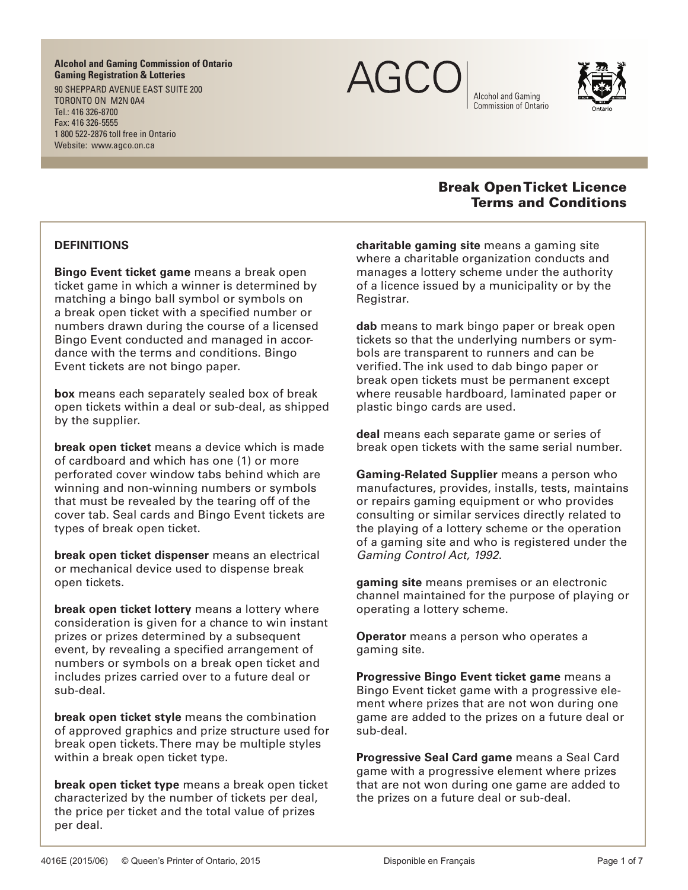**Alcohol and Gaming Commission of Ontario Gaming Registration & Lotteries**

90 SHEPPARD AVENUE EAST SUITE 200 TORONTO ON M2N 0A4 Tel.: 416 326-8700 Fax: 416 326-5555 1 800 522-2876 toll free in Ontario Website: www.agco.on.ca



Alcohol and Gaming Commission of Ontario



### **DEFINITIONS**

**Bingo Event ticket game** means a break open ticket game in which a winner is determined by matching a bingo ball symbol or symbols on a break open ticket with a specified number or numbers drawn during the course of a licensed Bingo Event conducted and managed in accordance with the terms and conditions. Bingo Event tickets are not bingo paper.

**box** means each separately sealed box of break open tickets within a deal or sub-deal, as shipped by the supplier.

**break open ticket** means a device which is made of cardboard and which has one (1) or more perforated cover window tabs behind which are winning and non-winning numbers or symbols that must be revealed by the tearing off of the cover tab. Seal cards and Bingo Event tickets are types of break open ticket.

**break open ticket dispenser** means an electrical or mechanical device used to dispense break open tickets.

**break open ticket lottery** means a lottery where consideration is given for a chance to win instant prizes or prizes determined by a subsequent event, by revealing a specified arrangement of numbers or symbols on a break open ticket and includes prizes carried over to a future deal or sub-deal.

**break open ticket style** means the combination of approved graphics and prize structure used for break open tickets. There may be multiple styles within a break open ticket type.

**break open ticket type** means a break open ticket characterized by the number of tickets per deal, the price per ticket and the total value of prizes per deal.

# Break Open Ticket Licence Terms and Conditions

**charitable gaming site** means a gaming site where a charitable organization conducts and manages a lottery scheme under the authority of a licence issued by a municipality or by the Registrar.

**dab** means to mark bingo paper or break open tickets so that the underlying numbers or symbols are transparent to runners and can be verified. The ink used to dab bingo paper or break open tickets must be permanent except where reusable hardboard, laminated paper or plastic bingo cards are used.

**deal** means each separate game or series of break open tickets with the same serial number.

**Gaming-Related Supplier** means a person who manufactures, provides, installs, tests, maintains or repairs gaming equipment or who provides consulting or similar services directly related to the playing of a lottery scheme or the operation of a gaming site and who is registered under the *Gaming Control Act, 1992*.

**gaming site** means premises or an electronic channel maintained for the purpose of playing or operating a lottery scheme.

**Operator** means a person who operates a gaming site.

**Progressive Bingo Event ticket game** means a Bingo Event ticket game with a progressive element where prizes that are not won during one game are added to the prizes on a future deal or sub-deal.

**Progressive Seal Card game** means a Seal Card game with a progressive element where prizes that are not won during one game are added to the prizes on a future deal or sub-deal.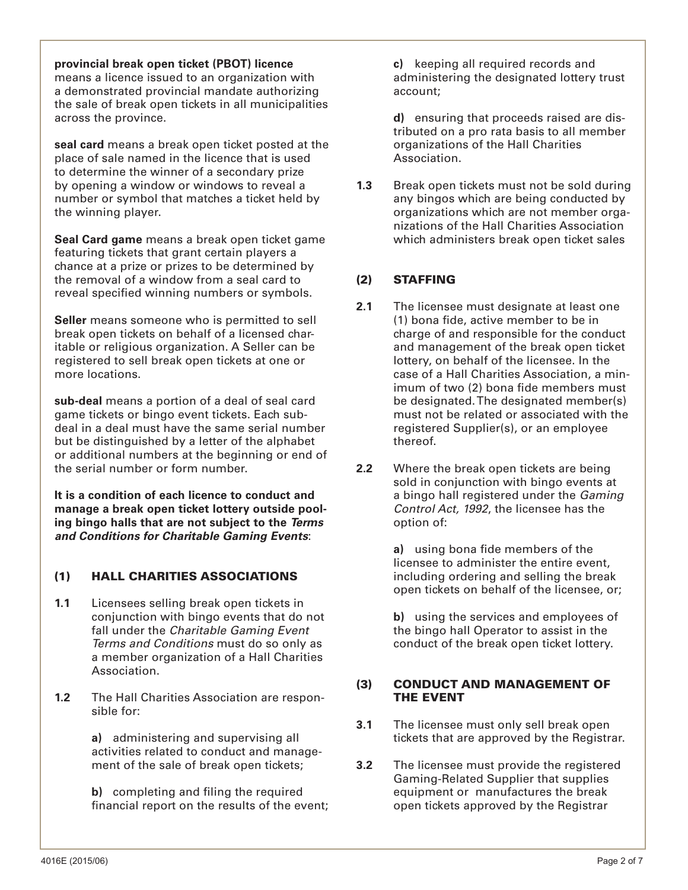**provincial break open ticket (PBOT) licence** means a licence issued to an organization with a demonstrated provincial mandate authorizing the sale of break open tickets in all municipalities across the province.

**seal card** means a break open ticket posted at the place of sale named in the licence that is used to determine the winner of a secondary prize by opening a window or windows to reveal a number or symbol that matches a ticket held by the winning player.

**Seal Card game** means a break open ticket game featuring tickets that grant certain players a chance at a prize or prizes to be determined by the removal of a window from a seal card to reveal specified winning numbers or symbols.

**Seller** means someone who is permitted to sell break open tickets on behalf of a licensed charitable or religious organization. A Seller can be registered to sell break open tickets at one or more locations.

**sub-deal** means a portion of a deal of seal card game tickets or bingo event tickets. Each subdeal in a deal must have the same serial number but be distinguished by a letter of the alphabet or additional numbers at the beginning or end of the serial number or form number.

**It is a condition of each licence to conduct and manage a break open ticket lottery outside pooling bingo halls that are not subject to the** *Terms and Conditions for Charitable Gaming Events*:

## (1) HALL CHARITIES ASSOCIATIONS

- **1.1** Licensees selling break open tickets in conjunction with bingo events that do not fall under the *Charitable Gaming Event Terms and Conditions* must do so only as a member organization of a Hall Charities Association.
- **1.2** The Hall Charities Association are responsible for:

**a)** administering and supervising all activities related to conduct and management of the sale of break open tickets;

**b)** completing and filing the required financial report on the results of the event; **c)** keeping all required records and administering the designated lottery trust account;

**d)** ensuring that proceeds raised are distributed on a pro rata basis to all member organizations of the Hall Charities Association.

**1.3** Break open tickets must not be sold during any bingos which are being conducted by organizations which are not member organizations of the Hall Charities Association which administers break open ticket sales

### (2) STAFFING

- **2.1** The licensee must designate at least one (1) bona fide, active member to be in charge of and responsible for the conduct and management of the break open ticket lottery, on behalf of the licensee. In the case of a Hall Charities Association, a minimum of two (2) bona fide members must be designated. The designated member(s) must not be related or associated with the registered Supplier(s), or an employee thereof.
- **2.2** Where the break open tickets are being sold in conjunction with bingo events at a bingo hall registered under the *Gaming Control Act, 1992*, the licensee has the option of:

**a)** using bona fide members of the licensee to administer the entire event, including ordering and selling the break open tickets on behalf of the licensee, or;

**b)** using the services and employees of the bingo hall Operator to assist in the conduct of the break open ticket lottery.

#### (3) CONDUCT AND MANAGEMENT OF THE EVENT

- **3.1** The licensee must only sell break open tickets that are approved by the Registrar.
- **3.2** The licensee must provide the registered Gaming-Related Supplier that supplies equipment or manufactures the break open tickets approved by the Registrar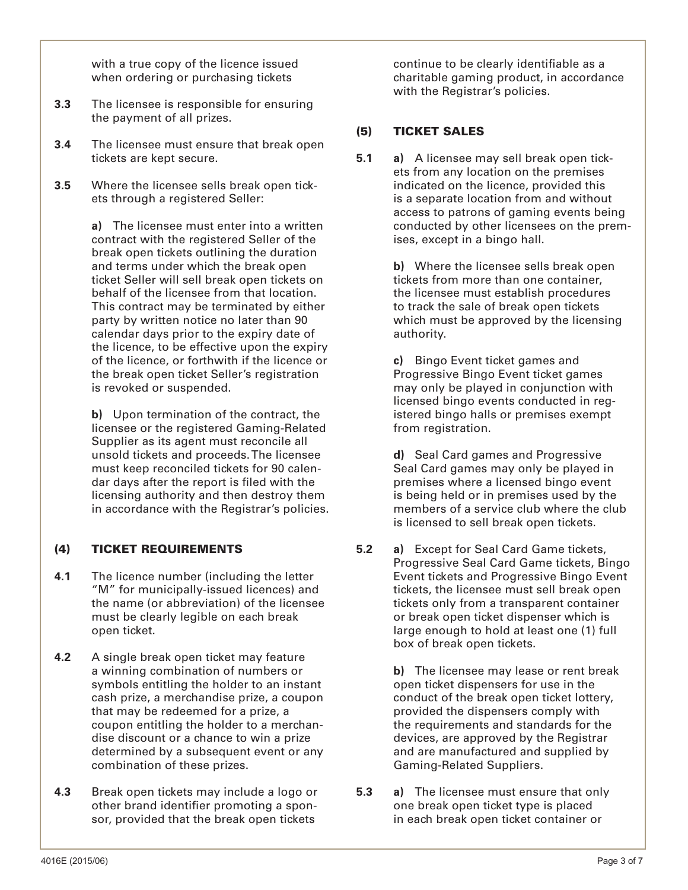with a true copy of the licence issued when ordering or purchasing tickets

- **3.3** The licensee is responsible for ensuring the payment of all prizes.
- **3.4** The licensee must ensure that break open tickets are kept secure.
- **3.5** Where the licensee sells break open tickets through a registered Seller:

**a)** The licensee must enter into a written contract with the registered Seller of the break open tickets outlining the duration and terms under which the break open ticket Seller will sell break open tickets on behalf of the licensee from that location. This contract may be terminated by either party by written notice no later than 90 calendar days prior to the expiry date of the licence, to be effective upon the expiry of the licence, or forthwith if the licence or the break open ticket Seller's registration is revoked or suspended.

**b)** Upon termination of the contract, the licensee or the registered Gaming-Related Supplier as its agent must reconcile all unsold tickets and proceeds. The licensee must keep reconciled tickets for 90 calendar days after the report is filed with the licensing authority and then destroy them in accordance with the Registrar's policies.

### (4) TICKET REQUIREMENTS

- **4.1** The licence number (including the letter "M" for municipally-issued licences) and the name (or abbreviation) of the licensee must be clearly legible on each break open ticket.
- **4.2** A single break open ticket may feature a winning combination of numbers or symbols entitling the holder to an instant cash prize, a merchandise prize, a coupon that may be redeemed for a prize, a coupon entitling the holder to a merchandise discount or a chance to win a prize determined by a subsequent event or any combination of these prizes.
- **4.3** Break open tickets may include a logo or other brand identifier promoting a sponsor, provided that the break open tickets

continue to be clearly identifiable as a charitable gaming product, in accordance with the Registrar's policies.

### (5) TICKET SALES

**5.1 a)** A licensee may sell break open tickets from any location on the premises indicated on the licence, provided this is a separate location from and without access to patrons of gaming events being conducted by other licensees on the premises, except in a bingo hall.

> **b)** Where the licensee sells break open tickets from more than one container, the licensee must establish procedures to track the sale of break open tickets which must be approved by the licensing authority.

**c)** Bingo Event ticket games and Progressive Bingo Event ticket games may only be played in conjunction with licensed bingo events conducted in registered bingo halls or premises exempt from registration.

**d)** Seal Card games and Progressive Seal Card games may only be played in premises where a licensed bingo event is being held or in premises used by the members of a service club where the club is licensed to sell break open tickets.

**5.2 a)** Except for Seal Card Game tickets, Progressive Seal Card Game tickets, Bingo Event tickets and Progressive Bingo Event tickets, the licensee must sell break open tickets only from a transparent container or break open ticket dispenser which is large enough to hold at least one (1) full box of break open tickets.

> **b)** The licensee may lease or rent break open ticket dispensers for use in the conduct of the break open ticket lottery, provided the dispensers comply with the requirements and standards for the devices, are approved by the Registrar and are manufactured and supplied by Gaming-Related Suppliers.

**5.3 a)** The licensee must ensure that only one break open ticket type is placed in each break open ticket container or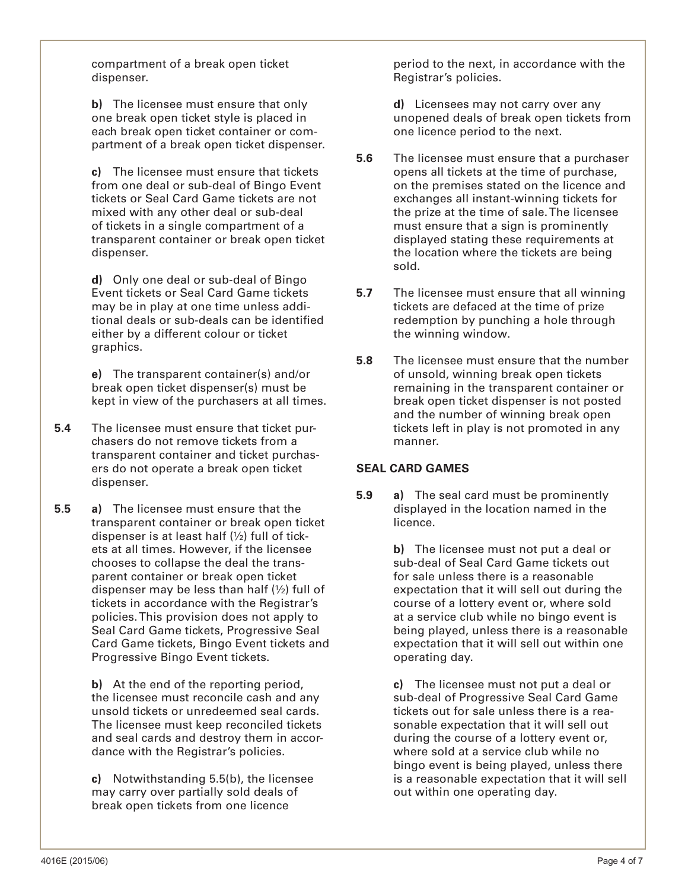compartment of a break open ticket dispenser.

**b)** The licensee must ensure that only one break open ticket style is placed in each break open ticket container or compartment of a break open ticket dispenser.

**c)** The licensee must ensure that tickets from one deal or sub-deal of Bingo Event tickets or Seal Card Game tickets are not mixed with any other deal or sub-deal of tickets in a single compartment of a transparent container or break open ticket dispenser.

**d)** Only one deal or sub-deal of Bingo Event tickets or Seal Card Game tickets may be in play at one time unless additional deals or sub-deals can be identified either by a different colour or ticket graphics.

**e)** The transparent container(s) and/or break open ticket dispenser(s) must be kept in view of the purchasers at all times.

- **5.4** The licensee must ensure that ticket purchasers do not remove tickets from a transparent container and ticket purchasers do not operate a break open ticket dispenser.
- **5.5 a)** The licensee must ensure that the transparent container or break open ticket dispenser is at least half (½) full of tickets at all times. However, if the licensee chooses to collapse the deal the transparent container or break open ticket dispenser may be less than half  $(\frac{1}{2})$  full of tickets in accordance with the Registrar's policies. This provision does not apply to Seal Card Game tickets, Progressive Seal Card Game tickets, Bingo Event tickets and Progressive Bingo Event tickets.

**b)** At the end of the reporting period, the licensee must reconcile cash and any unsold tickets or unredeemed seal cards. The licensee must keep reconciled tickets and seal cards and destroy them in accordance with the Registrar's policies.

**c)** Notwithstanding 5.5(b), the licensee may carry over partially sold deals of break open tickets from one licence

period to the next, in accordance with the Registrar's policies.

**d)** Licensees may not carry over any unopened deals of break open tickets from one licence period to the next.

- **5.6** The licensee must ensure that a purchaser opens all tickets at the time of purchase, on the premises stated on the licence and exchanges all instant-winning tickets for the prize at the time of sale. The licensee must ensure that a sign is prominently displayed stating these requirements at the location where the tickets are being sold.
- **5.7** The licensee must ensure that all winning tickets are defaced at the time of prize redemption by punching a hole through the winning window.
- **5.8** The licensee must ensure that the number of unsold, winning break open tickets remaining in the transparent container or break open ticket dispenser is not posted and the number of winning break open tickets left in play is not promoted in any manner.

#### **SEAL CARD GAMES**

**5.9 a)** The seal card must be prominently displayed in the location named in the licence.

> **b)** The licensee must not put a deal or sub-deal of Seal Card Game tickets out for sale unless there is a reasonable expectation that it will sell out during the course of a lottery event or, where sold at a service club while no bingo event is being played, unless there is a reasonable expectation that it will sell out within one operating day.

> **c)** The licensee must not put a deal or sub-deal of Progressive Seal Card Game tickets out for sale unless there is a reasonable expectation that it will sell out during the course of a lottery event or, where sold at a service club while no bingo event is being played, unless there is a reasonable expectation that it will sell out within one operating day.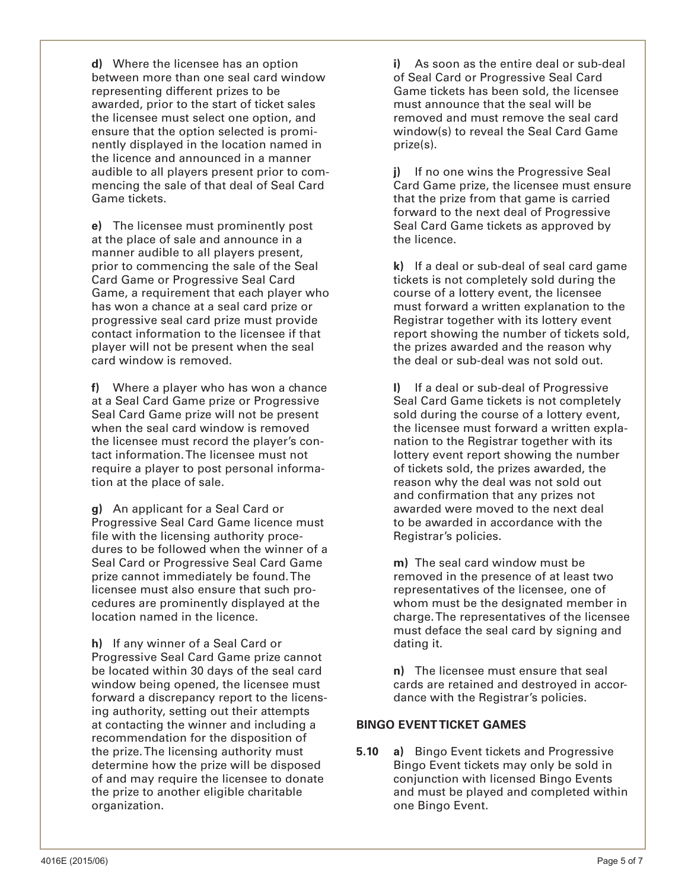**d)** Where the licensee has an option between more than one seal card window representing different prizes to be awarded, prior to the start of ticket sales the licensee must select one option, and ensure that the option selected is prominently displayed in the location named in the licence and announced in a manner audible to all players present prior to commencing the sale of that deal of Seal Card Game tickets.

**e)** The licensee must prominently post at the place of sale and announce in a manner audible to all players present, prior to commencing the sale of the Seal Card Game or Progressive Seal Card Game, a requirement that each player who has won a chance at a seal card prize or progressive seal card prize must provide contact information to the licensee if that player will not be present when the seal card window is removed.

**f)** Where a player who has won a chance at a Seal Card Game prize or Progressive Seal Card Game prize will not be present when the seal card window is removed the licensee must record the player's contact information. The licensee must not require a player to post personal information at the place of sale.

**g)** An applicant for a Seal Card or Progressive Seal Card Game licence must file with the licensing authority procedures to be followed when the winner of a Seal Card or Progressive Seal Card Game prize cannot immediately be found. The licensee must also ensure that such procedures are prominently displayed at the location named in the licence.

**h)** If any winner of a Seal Card or Progressive Seal Card Game prize cannot be located within 30 days of the seal card window being opened, the licensee must forward a discrepancy report to the licensing authority, setting out their attempts at contacting the winner and including a recommendation for the disposition of the prize. The licensing authority must determine how the prize will be disposed of and may require the licensee to donate the prize to another eligible charitable organization.

**i)** As soon as the entire deal or sub-deal of Seal Card or Progressive Seal Card Game tickets has been sold, the licensee must announce that the seal will be removed and must remove the seal card window(s) to reveal the Seal Card Game prize(s).

**j)** If no one wins the Progressive Seal Card Game prize, the licensee must ensure that the prize from that game is carried forward to the next deal of Progressive Seal Card Game tickets as approved by the licence.

**k)** If a deal or sub-deal of seal card game tickets is not completely sold during the course of a lottery event, the licensee must forward a written explanation to the Registrar together with its lottery event report showing the number of tickets sold, the prizes awarded and the reason why the deal or sub-deal was not sold out.

If a deal or sub-deal of Progressive Seal Card Game tickets is not completely sold during the course of a lottery event, the licensee must forward a written explanation to the Registrar together with its lottery event report showing the number of tickets sold, the prizes awarded, the reason why the deal was not sold out and confirmation that any prizes not awarded were moved to the next deal to be awarded in accordance with the Registrar's policies.

**m)** The seal card window must be removed in the presence of at least two representatives of the licensee, one of whom must be the designated member in charge. The representatives of the licensee must deface the seal card by signing and dating it.

**n)** The licensee must ensure that seal cards are retained and destroyed in accordance with the Registrar's policies.

#### **BINGO EVENT TICKET GAMES**

**5.10 a)** Bingo Event tickets and Progressive Bingo Event tickets may only be sold in conjunction with licensed Bingo Events and must be played and completed within one Bingo Event.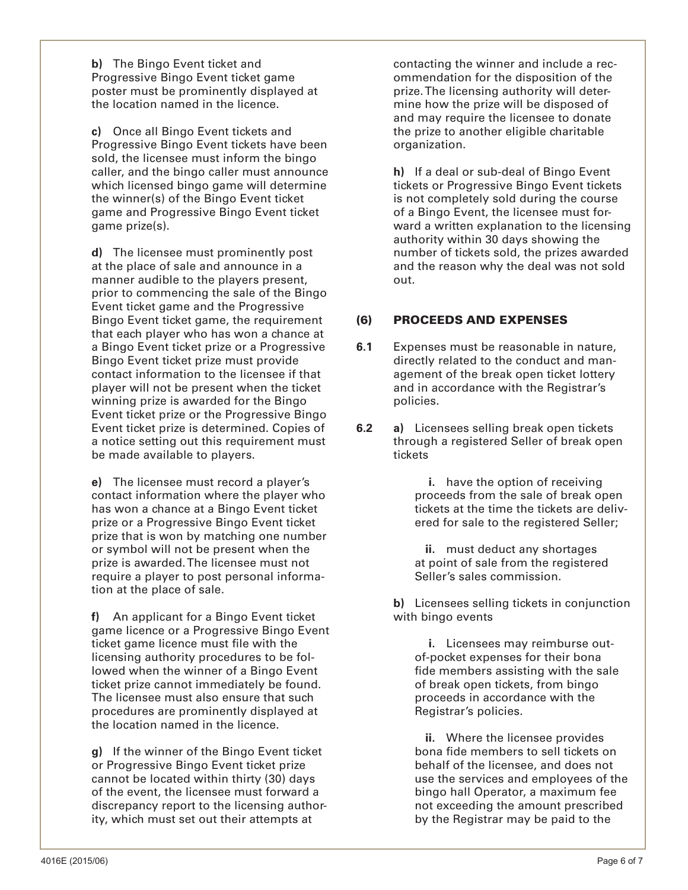**b)** The Bingo Event ticket and Progressive Bingo Event ticket game poster must be prominently displayed at the location named in the licence.

**c)** Once all Bingo Event tickets and Progressive Bingo Event tickets have been sold, the licensee must inform the bingo caller, and the bingo caller must announce which licensed bingo game will determine the winner(s) of the Bingo Event ticket game and Progressive Bingo Event ticket game prize(s).

**d)** The licensee must prominently post at the place of sale and announce in a manner audible to the players present, prior to commencing the sale of the Bingo Event ticket game and the Progressive Bingo Event ticket game, the requirement that each player who has won a chance at a Bingo Event ticket prize or a Progressive Bingo Event ticket prize must provide contact information to the licensee if that player will not be present when the ticket winning prize is awarded for the Bingo Event ticket prize or the Progressive Bingo Event ticket prize is determined. Copies of a notice setting out this requirement must be made available to players.

**e)** The licensee must record a player's contact information where the player who has won a chance at a Bingo Event ticket prize or a Progressive Bingo Event ticket prize that is won by matching one number or symbol will not be present when the prize is awarded. The licensee must not require a player to post personal information at the place of sale.

**f)** An applicant for a Bingo Event ticket game licence or a Progressive Bingo Event ticket game licence must file with the licensing authority procedures to be followed when the winner of a Bingo Event ticket prize cannot immediately be found. The licensee must also ensure that such procedures are prominently displayed at the location named in the licence.

**g)** If the winner of the Bingo Event ticket or Progressive Bingo Event ticket prize cannot be located within thirty (30) days of the event, the licensee must forward a discrepancy report to the licensing authority, which must set out their attempts at

contacting the winner and include a recommendation for the disposition of the prize. The licensing authority will determine how the prize will be disposed of and may require the licensee to donate the prize to another eligible charitable organization.

**h)** If a deal or sub-deal of Bingo Event tickets or Progressive Bingo Event tickets is not completely sold during the course of a Bingo Event, the licensee must forward a written explanation to the licensing authority within 30 days showing the number of tickets sold, the prizes awarded and the reason why the deal was not sold out.

## (6) PROCEEDS AND EXPENSES

- **6.1** Expenses must be reasonable in nature, directly related to the conduct and management of the break open ticket lottery and in accordance with the Registrar's policies.
- **6.2 a)** Licensees selling break open tickets through a registered Seller of break open tickets

**i.** have the option of receiving proceeds from the sale of break open tickets at the time the tickets are delivered for sale to the registered Seller;

**ii.** must deduct any shortages at point of sale from the registered Seller's sales commission.

**b)** Licensees selling tickets in conjunction with bingo events

**i.** Licensees may reimburse outof-pocket expenses for their bona fide members assisting with the sale of break open tickets, from bingo proceeds in accordance with the Registrar's policies.

**ii.** Where the licensee provides bona fide members to sell tickets on behalf of the licensee, and does not use the services and employees of the bingo hall Operator, a maximum fee not exceeding the amount prescribed by the Registrar may be paid to the